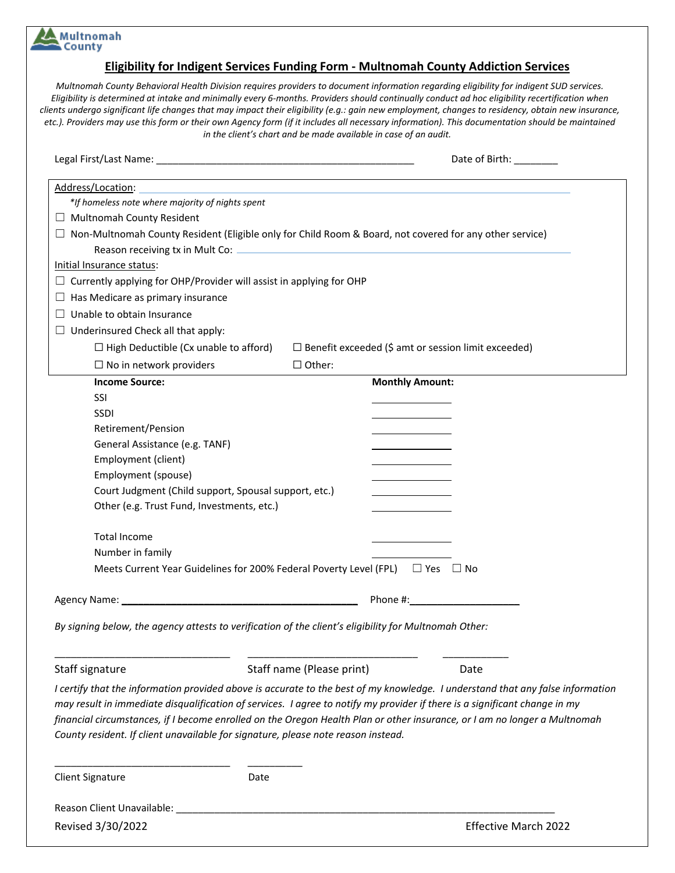## **Multnomah** County

## **Eligibility for Indigent Services Funding Form - Multnomah County Addiction Services**

*Multnomah County Behavioral Health Division requires providers to document information regarding eligibility for indigent SUD services. Eligibility is determined at intake and minimally every 6-months. Providers should continually conduct ad hoc eligibility recertification when clients undergo significant life changes that may impact their eligibility (e.g.: gain new employment, changes to residency, obtain new insurance, etc.). Providers may use this form or their own Agency form (if it includes all necessary information). This documentation should be maintained in the client's chart and be made available in case of an audit.*

|                                                                                   | Date of Birth:                                                                                                                 |
|-----------------------------------------------------------------------------------|--------------------------------------------------------------------------------------------------------------------------------|
| Address/Location:                                                                 |                                                                                                                                |
| *If homeless note where majority of nights spent                                  |                                                                                                                                |
| $\Box$ Multnomah County Resident                                                  |                                                                                                                                |
|                                                                                   | $\Box$ Non-Multnomah County Resident (Eligible only for Child Room & Board, not covered for any other service)                 |
|                                                                                   |                                                                                                                                |
| Initial Insurance status:                                                         |                                                                                                                                |
| $\Box$ Currently applying for OHP/Provider will assist in applying for OHP        |                                                                                                                                |
| $\Box$ Has Medicare as primary insurance                                          |                                                                                                                                |
| $\Box$ Unable to obtain Insurance                                                 |                                                                                                                                |
| $\Box$ Underinsured Check all that apply:                                         |                                                                                                                                |
| $\Box$ High Deductible (Cx unable to afford)                                      | $\Box$ Benefit exceeded (\$ amt or session limit exceeded)                                                                     |
| $\Box$ No in network providers                                                    | $\Box$ Other:                                                                                                                  |
| <b>Income Source:</b>                                                             | <b>Monthly Amount:</b>                                                                                                         |
| SSI                                                                               |                                                                                                                                |
| SSDI                                                                              |                                                                                                                                |
| Retirement/Pension                                                                |                                                                                                                                |
| General Assistance (e.g. TANF)                                                    |                                                                                                                                |
| Employment (client)                                                               |                                                                                                                                |
| Employment (spouse)                                                               |                                                                                                                                |
| Court Judgment (Child support, Spousal support, etc.)                             |                                                                                                                                |
| Other (e.g. Trust Fund, Investments, etc.)                                        |                                                                                                                                |
| <b>Total Income</b>                                                               |                                                                                                                                |
| Number in family                                                                  |                                                                                                                                |
|                                                                                   | Meets Current Year Guidelines for 200% Federal Poverty Level (FPL) $\Box$ Yes $\Box$ No                                        |
|                                                                                   |                                                                                                                                |
|                                                                                   |                                                                                                                                |
|                                                                                   | By signing below, the agency attests to verification of the client's eligibility for Multnomah Other:                          |
| Staff signature                                                                   | Staff name (Please print)<br>Date                                                                                              |
|                                                                                   | I certify that the information provided above is accurate to the best of my knowledge. I understand that any false information |
|                                                                                   | may result in immediate disqualification of services. I agree to notify my provider if there is a significant change in my     |
|                                                                                   | financial circumstances, if I become enrolled on the Oregon Health Plan or other insurance, or I am no longer a Multnomah      |
| County resident. If client unavailable for signature, please note reason instead. |                                                                                                                                |
|                                                                                   |                                                                                                                                |
| <b>Client Signature</b>                                                           | Date                                                                                                                           |
|                                                                                   |                                                                                                                                |
| Revised 3/30/2022                                                                 | <b>Effective March 2022</b>                                                                                                    |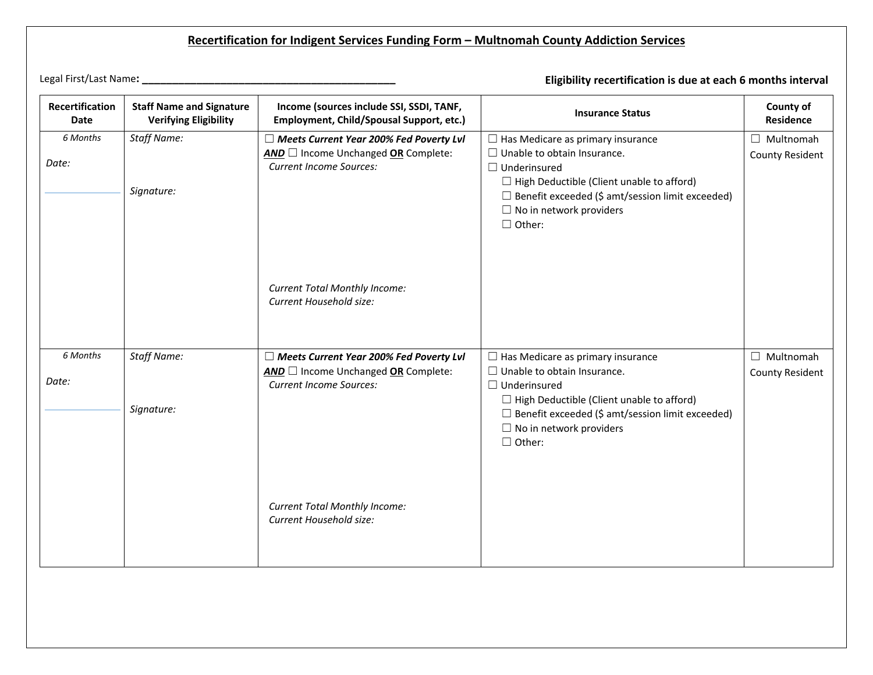## **Recertification for Indigent Services Funding Form – Multnomah County Addiction Services**

Legal First/Last Name**: \_\_\_\_\_\_\_\_\_\_\_\_\_\_\_\_\_\_\_\_\_\_\_\_\_\_\_\_\_\_\_\_\_\_\_\_\_\_\_\_\_\_ Eligibility recertification is due at each 6 months interval**

| Recertification<br><b>Date</b> | <b>Staff Name and Signature</b><br><b>Verifying Eligibility</b> | Income (sources include SSI, SSDI, TANF,<br>Employment, Child/Spousal Support, etc.) | <b>Insurance Status</b>                                                                   | County of<br><b>Residence</b> |
|--------------------------------|-----------------------------------------------------------------|--------------------------------------------------------------------------------------|-------------------------------------------------------------------------------------------|-------------------------------|
| 6 Months                       | <b>Staff Name:</b>                                              | $\Box$ Meets Current Year 200% Fed Poverty Lvl                                       | $\Box$ Has Medicare as primary insurance                                                  | $\Box$ Multnomah              |
| Date:                          |                                                                 | AND Income Unchanged OR Complete:<br><b>Current Income Sources:</b>                  | $\Box$ Unable to obtain Insurance.<br>$\Box$ Underinsured                                 | <b>County Resident</b>        |
|                                | Signature:                                                      |                                                                                      | $\Box$ High Deductible (Client unable to afford)                                          |                               |
|                                |                                                                 |                                                                                      | $\Box$ Benefit exceeded (\$ amt/session limit exceeded)                                   |                               |
|                                |                                                                 |                                                                                      | $\Box$ No in network providers<br>$\Box$ Other:                                           |                               |
|                                |                                                                 |                                                                                      |                                                                                           |                               |
|                                |                                                                 |                                                                                      |                                                                                           |                               |
|                                |                                                                 |                                                                                      |                                                                                           |                               |
|                                |                                                                 | <b>Current Total Monthly Income:</b><br>Current Household size:                      |                                                                                           |                               |
|                                |                                                                 |                                                                                      |                                                                                           |                               |
|                                |                                                                 |                                                                                      |                                                                                           |                               |
| 6 Months                       | <b>Staff Name:</b>                                              | $\Box$ Meets Current Year 200% Fed Poverty Lvl                                       | $\Box$ Has Medicare as primary insurance                                                  | $\Box$ Multnomah              |
| Date:                          |                                                                 | $AND \Box$ Income Unchanged OR Complete:<br><b>Current Income Sources:</b>           | $\Box$ Unable to obtain Insurance.<br>$\Box$ Underinsured                                 | County Resident               |
|                                |                                                                 |                                                                                      | $\Box$ High Deductible (Client unable to afford)                                          |                               |
|                                | Signature:                                                      |                                                                                      | $\Box$ Benefit exceeded (\$ amt/session limit exceeded)<br>$\Box$ No in network providers |                               |
|                                |                                                                 |                                                                                      | $\Box$ Other:                                                                             |                               |
|                                |                                                                 |                                                                                      |                                                                                           |                               |
|                                |                                                                 |                                                                                      |                                                                                           |                               |
|                                |                                                                 | <b>Current Total Monthly Income:</b>                                                 |                                                                                           |                               |
|                                |                                                                 | Current Household size:                                                              |                                                                                           |                               |
|                                |                                                                 |                                                                                      |                                                                                           |                               |
|                                |                                                                 |                                                                                      |                                                                                           |                               |